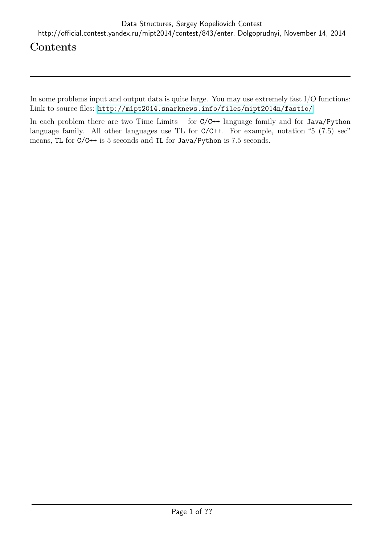# Contents

In some problems input and output data is quite large. You may use extremely fast I/O functions: Link to source files: <http://mipt2014.snarknews.info/files/mipt2014n/fastio/>

In each problem there are two Time Limits – for C/C++ language family and for Java/Python language family. All other languages use TL for C/C++. For example, notation "5 (7.5) sec" means, TL for C/C++ is 5 seconds and TL for Java/Python is 7.5 seconds.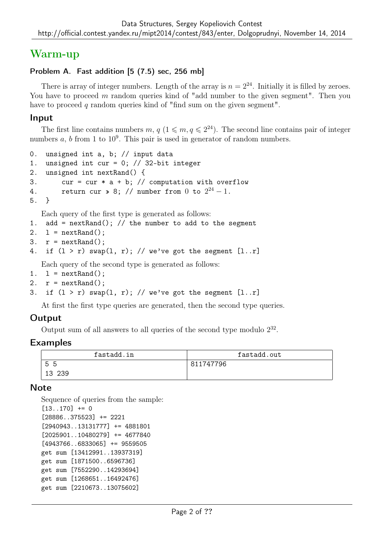# Warm-up

# Problem A. Fast addition [5 (7.5) sec, 256 mb]

There is array of integer numbers. Length of the array is  $n = 2^{24}$ . Initially it is filled by zeroes. You have to proceed m random queries kind of "add number to the given segment". Then you have to proceed q random queries kind of "find sum on the given segment".

### Input

The first line contains numbers  $m, q$  ( $1 \leq m, q \leq 2^{24}$ ). The second line contains pair of integer numbers  $a, b$  from 1 to  $10<sup>9</sup>$ . This pair is used in generator of random numbers.

```
0. unsigned int a, b; // input data
1. unsigned int cur = 0; // 32-bit integer
2. unsigned int nextRand() {
3. cur = cur * a + b; // computation with overflow
4. return cur \gg 8; // number from 0 to 2^{24} - 1.
5. }
   Each query of the first type is generated as follows:
1. add = nextRand(); // the number to add to the segment
2. l = \text{nextRand}();
```

```
3. r = \text{nextRand}();
```

```
4. if (1 > r) swap(1, r); // we've got the segment [1..r]
```
Each query of the second type is generated as follows:

```
1. l = \text{nextRand}();
```

```
2. r = \text{nextRand}();
```

```
3. if (1 > r) swap(1, r); // we've got the segment [1..r]
```
At first the first type queries are generated, then the second type queries.

# Output

Output sum of all answers to all queries of the second type modulo  $2^{32}$ .

### Examples

| fastadd.in | fastadd.out |
|------------|-------------|
| 55         | 811747796   |
| 13 239     |             |

### **Note**

```
Sequence of queries from the sample:
[13..170] += 0
[28886..375523] += 2221
[2940943..13131777] += 4881801
[2025901..10480279] += 4677840
[4943766..6833065] += 9559505
get sum [13412991..13937319]
get sum [1871500..6596736]
get sum [7552290..14293694]
get sum [1268651..16492476]
get sum [2210673..13075602]
```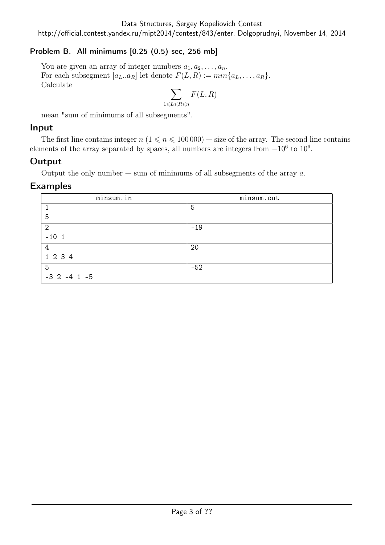# Problem B. All minimums [0.25 (0.5) sec, 256 mb]

You are given an array of integer numbers  $a_1, a_2, \ldots, a_n$ . For each subsegment  $[a_L..a_R]$  let denote  $F(L, R) := min\{a_L, ..., a_R\}.$ Calculate

$$
\sum_{1 \leqslant L \leqslant R \leqslant n} F(L, R)
$$

mean "sum of minimums of all subsegments".

### Input

The first line contains integer  $n (1 \le n \le 100000)$  — size of the array. The second line contains elements of the array separated by spaces, all numbers are integers from  $-10^6$  to  $10^6$ .

### **Output**

Output the only number — sum of minimums of all subsegments of the array  $a$ .

### Examples

| minsum.in          | minsum.out |
|--------------------|------------|
|                    | 5          |
| 5                  |            |
| $\overline{2}$     | $-19$      |
| $-101$             |            |
| 4                  | 20         |
| 1 2 3 4            |            |
| 5                  | $-52$      |
| $-3$ 2 $-4$ 1 $-5$ |            |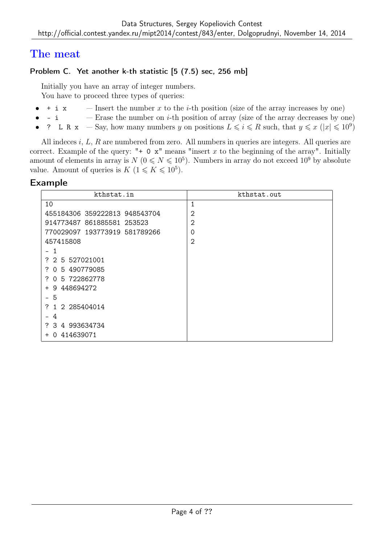# The meat

# Problem C. Yet another k-th statistic [5 (7.5) sec, 256 mb]

Initially you have an array of integer numbers.

You have to proceed three types of queries:

- $\pm$  i x Insert the number x to the *i*-th position (size of the array increases by one)
- i Erase the number on *i*-th position of array (size of the array decreases by one)
- ? L R x Say, how many numbers y on positions  $L \leqslant i \leqslant R$  such, that  $y \leqslant x \ (|x| \leqslant 10^9)$

All indeces i, L, R are numbered from zero. All numbers in queries are integers. All queries are correct. Example of the query: " $+ 0 x$ " means "insert x to the beginning of the array". Initially amount of elements in array is  $N(0 \leq N \leq 10^5)$ . Numbers in array do not exceed  $10^9$  by absolute value. Amount of queries is  $K$   $(1 \leq K \leq 10^5)$ .

### Example

| kthstat.in                     | kthstat.out    |
|--------------------------------|----------------|
| 10                             | $\mathbf{1}$   |
| 455184306 359222813 948543704  | $\overline{2}$ |
| 914773487 861885581 253523     | 2              |
| 770029097 193773919 581789266  | 0              |
| 457415808                      | $\overline{2}$ |
| 1<br>-                         |                |
| ? 2 5 527021001                |                |
| 0 5 490779085<br>7.            |                |
| 0 5 722862778<br>7             |                |
| 9 448694272<br>$\pm$           |                |
| 5<br>-                         |                |
| 1 2 285404014<br>7             |                |
| 4                              |                |
| ? 3 4 993634734                |                |
| 414639071<br>$\Omega$<br>$\pm$ |                |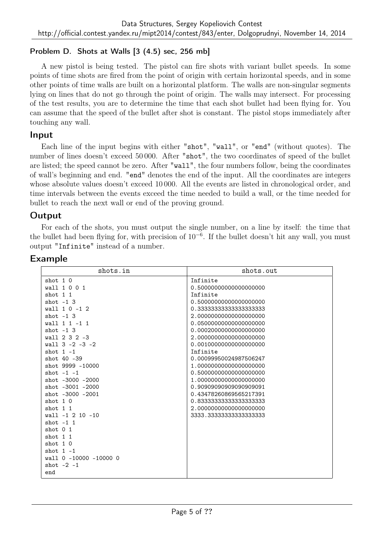## Problem D. Shots at Walls [3 (4.5) sec, 256 mb]

A new pistol is being tested. The pistol can fire shots with variant bullet speeds. In some points of time shots are fired from the point of origin with certain horizontal speeds, and in some other points of time walls are built on a horizontal platform. The walls are non-singular segments lying on lines that do not go through the point of origin. The walls may intersect. For processing of the test results, you are to determine the time that each shot bullet had been flying for. You can assume that the speed of the bullet after shot is constant. The pistol stops immediately after touching any wall.

### Input

Each line of the input begins with either "shot", "wall", or "end" (without quotes). The number of lines doesn't exceed 50 000. After "shot", the two coordinates of speed of the bullet are listed; the speed cannot be zero. After "wall", the four numbers follow, being the coordinates of wall's beginning and end. "end" denotes the end of the input. All the coordinates are integers whose absolute values doesn't exceed 10 000. All the events are listed in chronological order, and time intervals between the events exceed the time needed to build a wall, or the time needed for bullet to reach the next wall or end of the proving ground.

### Output

For each of the shots, you must output the single number, on a line by itself: the time that the bullet had been flying for, with precision of 10<sup>−</sup><sup>6</sup> . If the bullet doesn't hit any wall, you must output "Infinite" instead of a number.

# Example